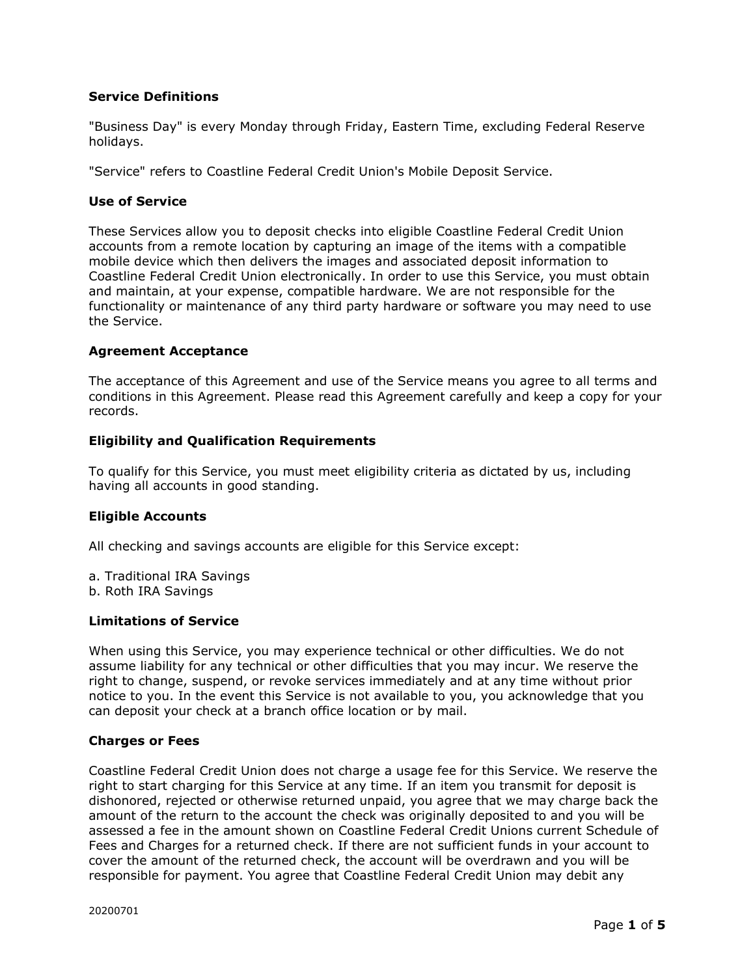## **Service Definitions**

"Business Day" is every Monday through Friday, Eastern Time, excluding Federal Reserve holidays.

"Service" refers to Coastline Federal Credit Union's Mobile Deposit Service.

#### **Use of Service**

These Services allow you to deposit checks into eligible Coastline Federal Credit Union accounts from a remote location by capturing an image of the items with a compatible mobile device which then delivers the images and associated deposit information to Coastline Federal Credit Union electronically. In order to use this Service, you must obtain and maintain, at your expense, compatible hardware. We are not responsible for the functionality or maintenance of any third party hardware or software you may need to use the Service.

#### **Agreement Acceptance**

The acceptance of this Agreement and use of the Service means you agree to all terms and conditions in this Agreement. Please read this Agreement carefully and keep a copy for your records.

#### **Eligibility and Qualification Requirements**

To qualify for this Service, you must meet eligibility criteria as dictated by us, including having all accounts in good standing.

#### **Eligible Accounts**

All checking and savings accounts are eligible for this Service except:

a. Traditional IRA Savings b. Roth IRA Savings

#### **Limitations of Service**

When using this Service, you may experience technical or other difficulties. We do not assume liability for any technical or other difficulties that you may incur. We reserve the right to change, suspend, or revoke services immediately and at any time without prior notice to you. In the event this Service is not available to you, you acknowledge that you can deposit your check at a branch office location or by mail.

#### **Charges or Fees**

Coastline Federal Credit Union does not charge a usage fee for this Service. We reserve the right to start charging for this Service at any time. If an item you transmit for deposit is dishonored, rejected or otherwise returned unpaid, you agree that we may charge back the amount of the return to the account the check was originally deposited to and you will be assessed a fee in the amount shown on Coastline Federal Credit Unions current Schedule of Fees and Charges for a returned check. If there are not sufficient funds in your account to cover the amount of the returned check, the account will be overdrawn and you will be responsible for payment. You agree that Coastline Federal Credit Union may debit any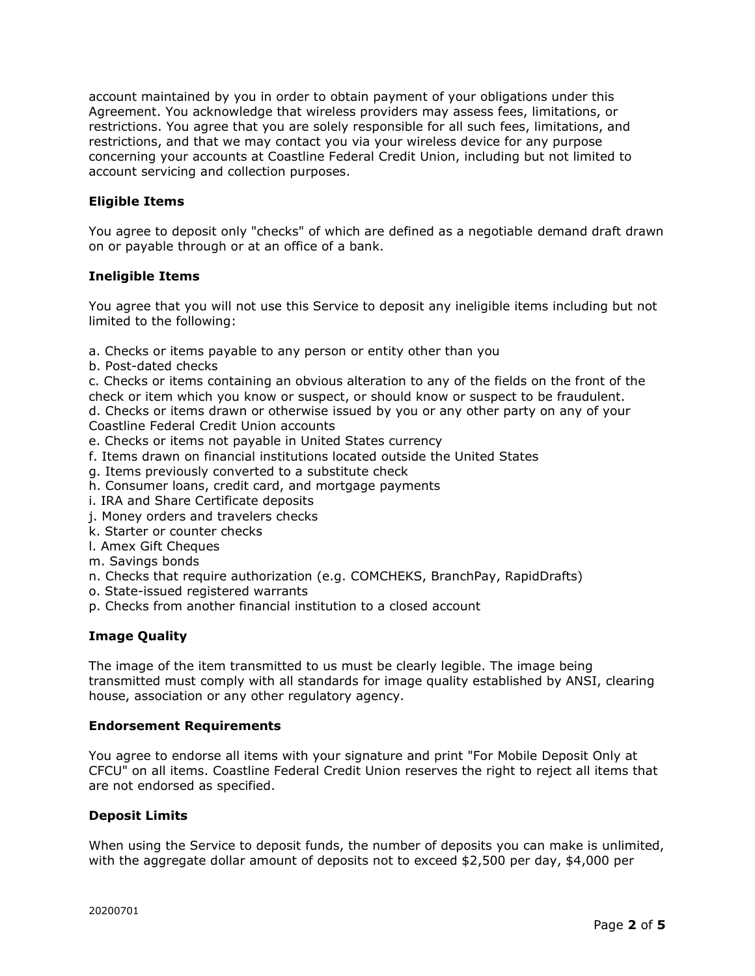account maintained by you in order to obtain payment of your obligations under this Agreement. You acknowledge that wireless providers may assess fees, limitations, or restrictions. You agree that you are solely responsible for all such fees, limitations, and restrictions, and that we may contact you via your wireless device for any purpose concerning your accounts at Coastline Federal Credit Union, including but not limited to account servicing and collection purposes.

## **Eligible Items**

You agree to deposit only "checks" of which are defined as a negotiable demand draft drawn on or payable through or at an office of a bank.

## **Ineligible Items**

You agree that you will not use this Service to deposit any ineligible items including but not limited to the following:

- a. Checks or items payable to any person or entity other than you
- b. Post-dated checks

c. Checks or items containing an obvious alteration to any of the fields on the front of the check or item which you know or suspect, or should know or suspect to be fraudulent.

d. Checks or items drawn or otherwise issued by you or any other party on any of your Coastline Federal Credit Union accounts

- e. Checks or items not payable in United States currency
- f. Items drawn on financial institutions located outside the United States
- g. Items previously converted to a substitute check
- h. Consumer loans, credit card, and mortgage payments
- i. IRA and Share Certificate deposits
- j. Money orders and travelers checks
- k. Starter or counter checks
- l. Amex Gift Cheques
- m. Savings bonds
- n. Checks that require authorization (e.g. COMCHEKS, BranchPay, RapidDrafts)
- o. State-issued registered warrants
- p. Checks from another financial institution to a closed account

## **Image Quality**

The image of the item transmitted to us must be clearly legible. The image being transmitted must comply with all standards for image quality established by ANSI, clearing house, association or any other regulatory agency.

#### **Endorsement Requirements**

You agree to endorse all items with your signature and print "For Mobile Deposit Only at CFCU" on all items. Coastline Federal Credit Union reserves the right to reject all items that are not endorsed as specified.

#### **Deposit Limits**

When using the Service to deposit funds, the number of deposits you can make is unlimited, with the aggregate dollar amount of deposits not to exceed \$2,500 per day, \$4,000 per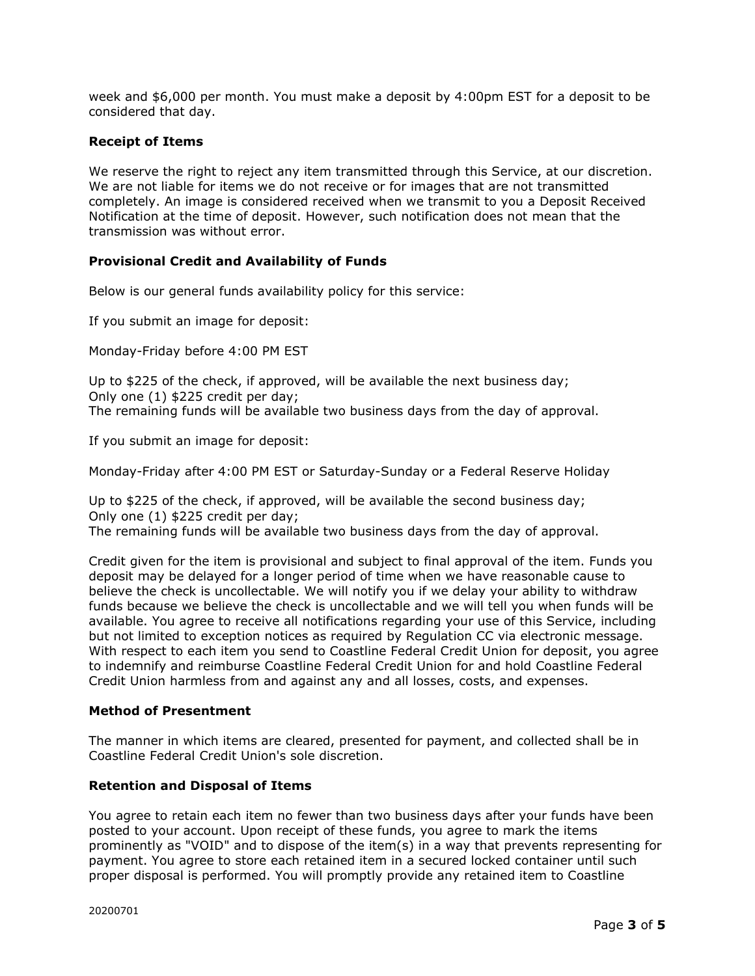week and \$6,000 per month. You must make a deposit by 4:00pm EST for a deposit to be considered that day.

## **Receipt of Items**

We reserve the right to reject any item transmitted through this Service, at our discretion. We are not liable for items we do not receive or for images that are not transmitted completely. An image is considered received when we transmit to you a Deposit Received Notification at the time of deposit. However, such notification does not mean that the transmission was without error.

# **Provisional Credit and Availability of Funds**

Below is our general funds availability policy for this service:

If you submit an image for deposit:

Monday-Friday before 4:00 PM EST

Up to \$225 of the check, if approved, will be available the next business day; Only one (1) \$225 credit per day; The remaining funds will be available two business days from the day of approval.

If you submit an image for deposit:

Monday-Friday after 4:00 PM EST or Saturday-Sunday or a Federal Reserve Holiday

Up to \$225 of the check, if approved, will be available the second business day; Only one (1) \$225 credit per day; The remaining funds will be available two business days from the day of approval.

Credit given for the item is provisional and subject to final approval of the item. Funds you deposit may be delayed for a longer period of time when we have reasonable cause to believe the check is uncollectable. We will notify you if we delay your ability to withdraw funds because we believe the check is uncollectable and we will tell you when funds will be available. You agree to receive all notifications regarding your use of this Service, including but not limited to exception notices as required by Regulation CC via electronic message. With respect to each item you send to Coastline Federal Credit Union for deposit, you agree to indemnify and reimburse Coastline Federal Credit Union for and hold Coastline Federal Credit Union harmless from and against any and all losses, costs, and expenses.

## **Method of Presentment**

The manner in which items are cleared, presented for payment, and collected shall be in Coastline Federal Credit Union's sole discretion.

## **Retention and Disposal of Items**

You agree to retain each item no fewer than two business days after your funds have been posted to your account. Upon receipt of these funds, you agree to mark the items prominently as "VOID" and to dispose of the item(s) in a way that prevents representing for payment. You agree to store each retained item in a secured locked container until such proper disposal is performed. You will promptly provide any retained item to Coastline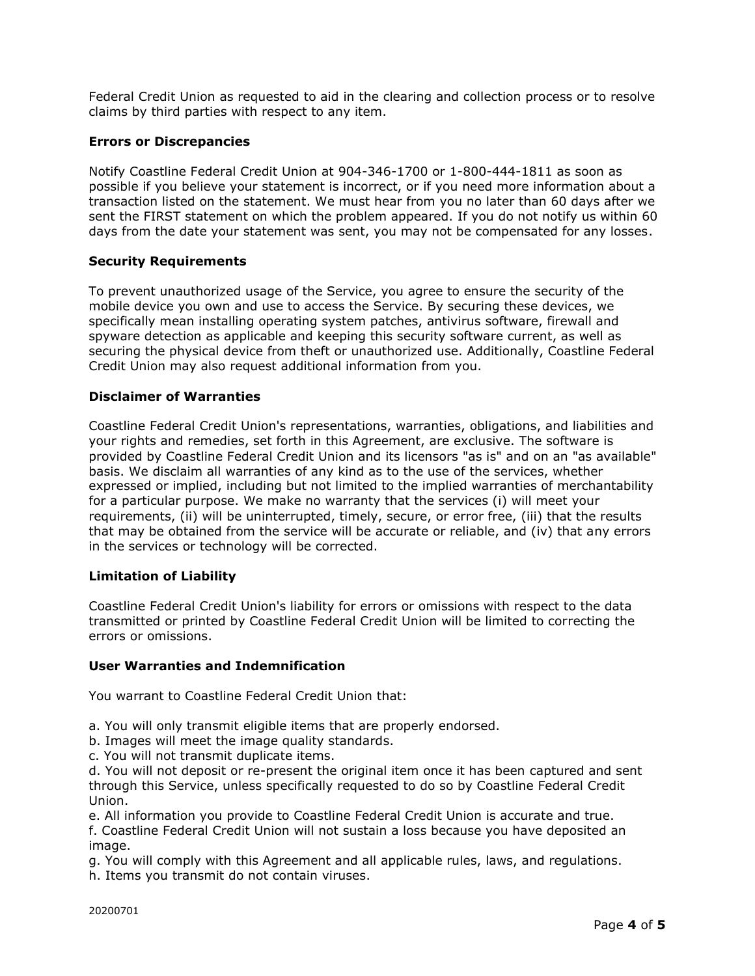Federal Credit Union as requested to aid in the clearing and collection process or to resolve claims by third parties with respect to any item.

# **Errors or Discrepancies**

Notify Coastline Federal Credit Union at 904-346-1700 or 1-800-444-1811 as soon as possible if you believe your statement is incorrect, or if you need more information about a transaction listed on the statement. We must hear from you no later than 60 days after we sent the FIRST statement on which the problem appeared. If you do not notify us within 60 days from the date your statement was sent, you may not be compensated for any losses.

## **Security Requirements**

To prevent unauthorized usage of the Service, you agree to ensure the security of the mobile device you own and use to access the Service. By securing these devices, we specifically mean installing operating system patches, antivirus software, firewall and spyware detection as applicable and keeping this security software current, as well as securing the physical device from theft or unauthorized use. Additionally, Coastline Federal Credit Union may also request additional information from you.

# **Disclaimer of Warranties**

Coastline Federal Credit Union's representations, warranties, obligations, and liabilities and your rights and remedies, set forth in this Agreement, are exclusive. The software is provided by Coastline Federal Credit Union and its licensors "as is" and on an "as available" basis. We disclaim all warranties of any kind as to the use of the services, whether expressed or implied, including but not limited to the implied warranties of merchantability for a particular purpose. We make no warranty that the services (i) will meet your requirements, (ii) will be uninterrupted, timely, secure, or error free, (iii) that the results that may be obtained from the service will be accurate or reliable, and (iv) that any errors in the services or technology will be corrected.

## **Limitation of Liability**

Coastline Federal Credit Union's liability for errors or omissions with respect to the data transmitted or printed by Coastline Federal Credit Union will be limited to correcting the errors or omissions.

## **User Warranties and Indemnification**

You warrant to Coastline Federal Credit Union that:

- a. You will only transmit eligible items that are properly endorsed.
- b. Images will meet the image quality standards.
- c. You will not transmit duplicate items.

d. You will not deposit or re-present the original item once it has been captured and sent through this Service, unless specifically requested to do so by Coastline Federal Credit Union.

e. All information you provide to Coastline Federal Credit Union is accurate and true. f. Coastline Federal Credit Union will not sustain a loss because you have deposited an image.

g. You will comply with this Agreement and all applicable rules, laws, and regulations. h. Items you transmit do not contain viruses.